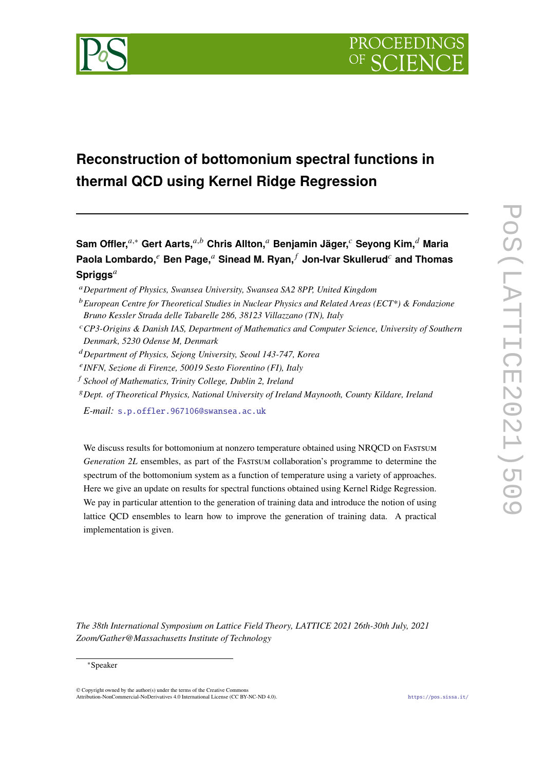# **Reconstruction of bottomonium spectral functions in thermal QCD using Kernel Ridge Regression**

**Sam Offler,**𝑎,<sup>∗</sup> **Gert Aarts,**𝑎,𝑏 **Chris Allton,**<sup>𝑎</sup> **Benjamin Jäger,**<sup>𝑐</sup> **Seyong Kim,**<sup>𝑑</sup> **Maria Paola Lombardo,**<sup>𝑒</sup> **Ben Page,**<sup>𝑎</sup> **Sinead M. Ryan,** <sup>𝑓</sup> **Jon-Ivar Skullerud**<sup>𝑐</sup> **and Thomas** Spriggs<sup>a</sup>

- <sup>𝑐</sup>*CP3-Origins & Danish IAS, Department of Mathematics and Computer Science, University of Southern Denmark, 5230 Odense M, Denmark*
- <sup>𝑑</sup>*Department of Physics, Sejong University, Seoul 143-747, Korea*
- 𝑒 *INFN, Sezione di Firenze, 50019 Sesto Fiorentino (FI), Italy*
- <sup>𝑓</sup> *School of Mathematics, Trinity College, Dublin 2, Ireland*

<sup>𝑔</sup>*Dept. of Theoretical Physics, National University of Ireland Maynooth, County Kildare, Ireland*

*E-mail:* [s.p.offler.967106@swansea.ac.uk](mailto:s.p.offler.967106@swansea.ac.uk)

We discuss results for bottomonium at nonzero temperature obtained using NRQCD on Fastsum *Generation 2L* ensembles, as part of the FASTSUM collaboration's programme to determine the spectrum of the bottomonium system as a function of temperature using a variety of approaches. Here we give an update on results for spectral functions obtained using Kernel Ridge Regression. We pay in particular attention to the generation of training data and introduce the notion of using lattice QCD ensembles to learn how to improve the generation of training data. A practical implementation is given.

*The 38th International Symposium on Lattice Field Theory, LATTICE 2021 26th-30th July, 2021 Zoom/Gather@Massachusetts Institute of Technology*

<sup>𝑎</sup>*Department of Physics, Swansea University, Swansea SA2 8PP, United Kingdom*

<sup>&</sup>lt;sup>b</sup> European Centre for Theoretical Studies in Nuclear Physics and Related Areas (ECT\*) & Fondazione *Bruno Kessler Strada delle Tabarelle 286, 38123 Villazzano (TN), Italy*

<sup>∗</sup>Speaker

<sup>©</sup> Copyright owned by the author(s) under the terms of the Creative Commons Attribution-NonCommercial-NoDerivatives 4.0 International License (CC BY-NC-ND 4.0). <https://pos.sissa.it/>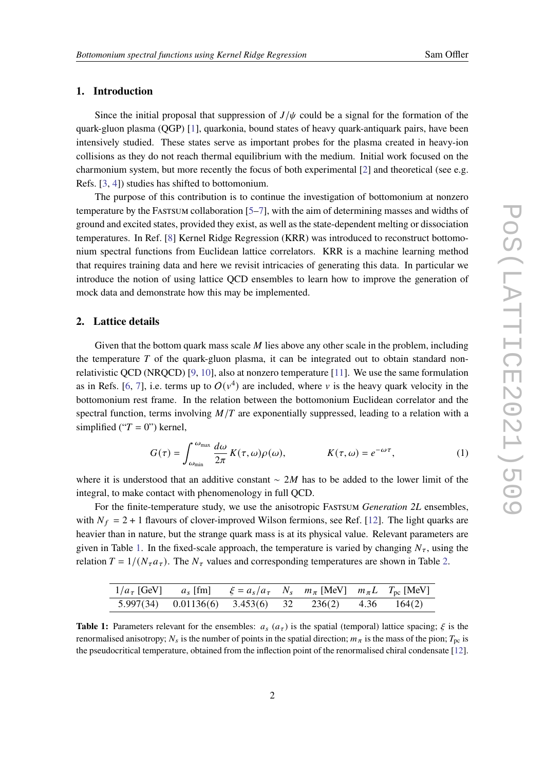# **1. Introduction**

Since the initial proposal that suppression of  $J/\psi$  could be a signal for the formation of the quark-gluon plasma (QGP) [\[1\]](#page-8-0), quarkonia, bound states of heavy quark-antiquark pairs, have been intensively studied. These states serve as important probes for the plasma created in heavy-ion collisions as they do not reach thermal equilibrium with the medium. Initial work focused on the charmonium system, but more recently the focus of both experimental [\[2\]](#page-8-1) and theoretical (see e.g. Refs. [\[3,](#page-8-2) [4\]](#page-8-3)) studies has shifted to bottomonium.

The purpose of this contribution is to continue the investigation of bottomonium at nonzero temperature by the Fastsum collaboration [\[5–](#page-8-4)[7\]](#page-8-5), with the aim of determining masses and widths of ground and excited states, provided they exist, as well as the state-dependent melting or dissociation temperatures. In Ref. [\[8\]](#page-8-6) Kernel Ridge Regression (KRR) was introduced to reconstruct bottomonium spectral functions from Euclidean lattice correlators. KRR is a machine learning method that requires training data and here we revisit intricacies of generating this data. In particular we introduce the notion of using lattice QCD ensembles to learn how to improve the generation of mock data and demonstrate how this may be implemented.

## **2. Lattice details**

Given that the bottom quark mass scale  $M$  lies above any other scale in the problem, including the temperature  $T$  of the quark-gluon plasma, it can be integrated out to obtain standard nonrelativistic QCD (NRQCD) [\[9,](#page-8-7) [10\]](#page-8-8), also at nonzero temperature [\[11\]](#page-8-9). We use the same formulation as in Refs. [\[6,](#page-8-10) [7\]](#page-8-5), i.e. terms up to  $O(v^4)$  are included, where v is the heavy quark velocity in the bottomonium rest frame. In the relation between the bottomonium Euclidean correlator and the spectral function, terms involving  $M/T$  are exponentially suppressed, leading to a relation with a simplified (" $T = 0$ ") kernel,

<span id="page-1-1"></span>
$$
G(\tau) = \int_{\omega_{\min}}^{\omega_{\max}} \frac{d\omega}{2\pi} K(\tau, \omega) \rho(\omega), \qquad K(\tau, \omega) = e^{-\omega \tau}, \qquad (1)
$$

where it is understood that an additive constant  $\sim 2M$  has to be added to the lower limit of the integral, to make contact with phenomenology in full QCD.

For the finite-temperature study, we use the anisotropic Fastsum *Generation 2L* ensembles, with  $N_f = 2 + 1$  flavours of clover-improved Wilson fermions, see Ref. [\[12\]](#page-8-11). The light quarks are heavier than in nature, but the strange quark mass is at its physical value. Relevant parameters are given in Table [1.](#page-1-0) In the fixed-scale approach, the temperature is varied by changing  $N_{\tau}$ , using the relation  $T = 1/(N_{\tau} a_{\tau})$ . The  $N_{\tau}$  values and corresponding temperatures are shown in Table [2.](#page-2-0)

<span id="page-1-0"></span>

| $1/a_{\tau}$ [GeV] $a_s$ [fm] $\xi = a_s/a_{\tau}$ $N_s$ $m_{\pi}$ [MeV] $m_{\pi}L$ $T_{\text{pc}}$ [MeV] |                                                       |  |  |  |
|-----------------------------------------------------------------------------------------------------------|-------------------------------------------------------|--|--|--|
|                                                                                                           | 5.997(34) $0.01136(6)$ 3.453(6) 32 236(2) 4.36 164(2) |  |  |  |

**Table 1:** Parameters relevant for the ensembles:  $a<sub>s</sub>(a<sub>τ</sub>)$  is the spatial (temporal) lattice spacing;  $\xi$  is the renormalised anisotropy;  $N_s$  is the number of points in the spatial direction;  $m_{\pi}$  is the mass of the pion;  $T_{\text{pc}}$  is the pseudocritical temperature, obtained from the inflection point of the renormalised chiral condensate [\[12\]](#page-8-11).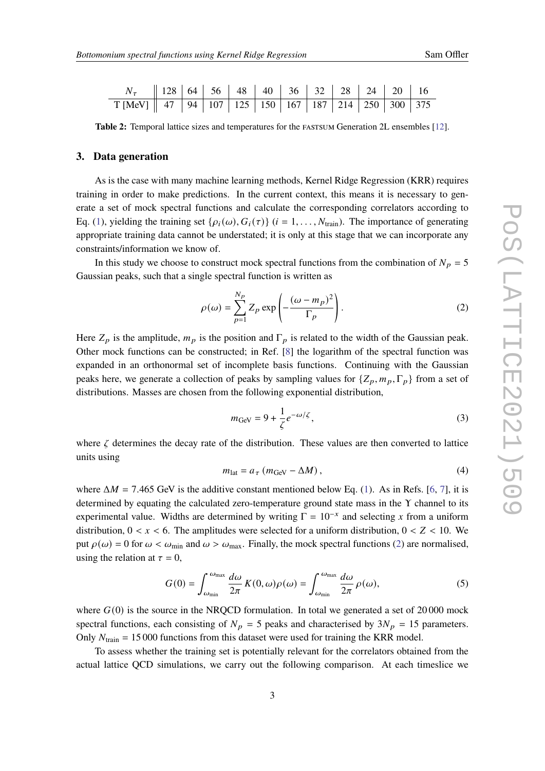<span id="page-2-0"></span>

|                                                                         | 128   64   56   48   40   36   32   28   24   20   16 |  |  |  |  |  |
|-------------------------------------------------------------------------|-------------------------------------------------------|--|--|--|--|--|
| $T [MeV]$ 47   94   107   125   150   167   187   214   250   300   375 |                                                       |  |  |  |  |  |

**Table 2:** Temporal lattice sizes and temperatures for the fastsum Generation 2L ensembles [\[12\]](#page-8-11).

#### **3. Data generation**

As is the case with many machine learning methods, Kernel Ridge Regression (KRR) requires training in order to make predictions. In the current context, this means it is necessary to generate a set of mock spectral functions and calculate the corresponding correlators according to Eq. [\(1\)](#page-1-1), yielding the training set  $\{\rho_i(\omega), G_i(\tau)\}\ (i = 1, \ldots, N_{\text{train}})\$ . The importance of generating appropriate training data cannot be understated; it is only at this stage that we can incorporate any constraints/information we know of.

In this study we choose to construct mock spectral functions from the combination of  $N_p = 5$ Gaussian peaks, such that a single spectral function is written as

<span id="page-2-1"></span>
$$
\rho(\omega) = \sum_{p=1}^{N_p} Z_p \exp\left(-\frac{(\omega - m_p)^2}{\Gamma_p}\right).
$$
\n(2)

Here  $Z_p$  is the amplitude,  $m_p$  is the position and  $\Gamma_p$  is related to the width of the Gaussian peak. Other mock functions can be constructed; in Ref. [\[8\]](#page-8-6) the logarithm of the spectral function was expanded in an orthonormal set of incomplete basis functions. Continuing with the Gaussian peaks here, we generate a collection of peaks by sampling values for  $\{Z_n, m_n, \Gamma_n\}$  from a set of distributions. Masses are chosen from the following exponential distribution,

$$
m_{\text{GeV}} = 9 + \frac{1}{\zeta} e^{-\omega/\zeta},\tag{3}
$$

where  $\zeta$  determines the decay rate of the distribution. These values are then converted to lattice units using

$$
m_{\text{lat}} = a_{\tau} \left( m_{\text{GeV}} - \Delta M \right),\tag{4}
$$

where  $\Delta M = 7.465$  GeV is the additive constant mentioned below Eq. [\(1\)](#page-1-1). As in Refs. [\[6,](#page-8-10) [7\]](#page-8-5), it is determined by equating the calculated zero-temperature ground state mass in the  $\Upsilon$  channel to its experimental value. Widths are determined by writing  $\Gamma = 10^{-x}$  and selecting x from a uniform distribution,  $0 < x < 6$ . The amplitudes were selected for a uniform distribution,  $0 < Z < 10$ . We put  $\rho(\omega) = 0$  for  $\omega < \omega_{\text{min}}$  and  $\omega > \omega_{\text{max}}$ . Finally, the mock spectral functions [\(2\)](#page-2-1) are normalised, using the relation at  $\tau = 0$ ,

$$
G(0) = \int_{\omega_{\min}}^{\omega_{\max}} \frac{d\omega}{2\pi} K(0, \omega) \rho(\omega) = \int_{\omega_{\min}}^{\omega_{\max}} \frac{d\omega}{2\pi} \rho(\omega), \tag{5}
$$

where  $G(0)$  is the source in the NRQCD formulation. In total we generated a set of 20000 mock spectral functions, each consisting of  $N_p = 5$  peaks and characterised by  $3N_p = 15$  parameters. Only  $N_{\text{train}} = 15000$  functions from this dataset were used for training the KRR model.

To assess whether the training set is potentially relevant for the correlators obtained from the actual lattice QCD simulations, we carry out the following comparison. At each timeslice we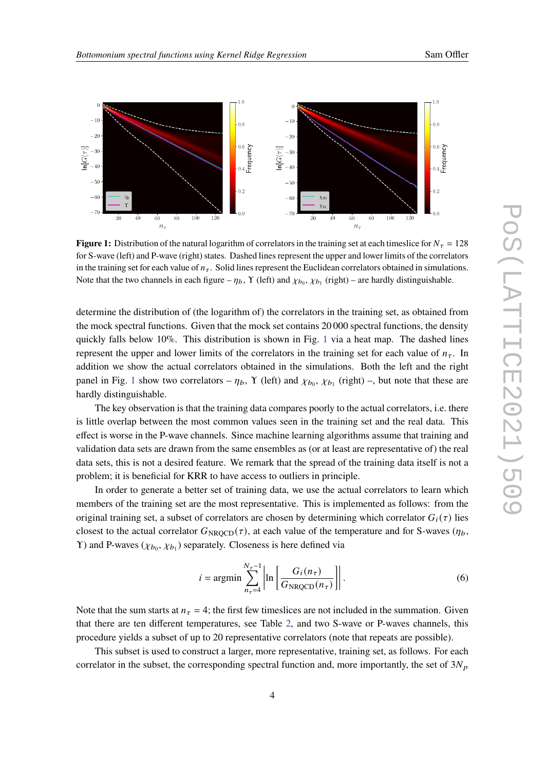<span id="page-3-0"></span>

**Figure 1:** Distribution of the natural logarithm of correlators in the training set at each timeslice for  $N_\tau = 128$ for S-wave (left) and P-wave (right) states. Dashed lines represent the upper and lower limits of the correlators in the training set for each value of  $n_{\tau}$ . Solid lines represent the Euclidean correlators obtained in simulations. Note that the two channels in each figure –  $\eta_b$ , Y (left) and  $\chi_{b_0}$ ,  $\chi_{b_1}$  (right) – are hardly distinguishable.

determine the distribution of (the logarithm of) the correlators in the training set, as obtained from the mock spectral functions. Given that the mock set contains 20 000 spectral functions, the density quickly falls below  $10\%$  $10\%$ . This distribution is shown in Fig. 1 via a heat map. The dashed lines represent the upper and lower limits of the correlators in the training set for each value of  $n_{\tau}$ . In addition we show the actual correlators obtained in the simulations. Both the left and the right panel in Fig. [1](#page-3-0) show two correlators –  $\eta_b$ , Y (left) and  $\chi_{b_0}$ ,  $\chi_{b_1}$  (right) –, but note that these are hardly distinguishable.

The key observation is that the training data compares poorly to the actual correlators, i.e. there is little overlap between the most common values seen in the training set and the real data. This effect is worse in the P-wave channels. Since machine learning algorithms assume that training and validation data sets are drawn from the same ensembles as (or at least are representative of) the real data sets, this is not a desired feature. We remark that the spread of the training data itself is not a problem; it is beneficial for KRR to have access to outliers in principle.

In order to generate a better set of training data, we use the actual correlators to learn which members of the training set are the most representative. This is implemented as follows: from the original training set, a subset of correlators are chosen by determining which correlator  $G_i(\tau)$  lies closest to the actual correlator  $G_{\text{NRQCD}}(\tau)$ , at each value of the temperature and for S-waves ( $\eta_b$ , Y) and P-waves ( $\chi_{b_0}, \chi_{b_1}$ ) separately. Closeness is here defined via

$$
i = \operatorname{argmin} \sum_{n_{\tau}=4}^{N_{\tau}-1} \left| \ln \left[ \frac{G_i(n_{\tau})}{G_{\text{NRQCD}}(n_{\tau})} \right] \right|.
$$
 (6)

Note that the sum starts at  $n_{\tau} = 4$ ; the first few timeslices are not included in the summation. Given that there are ten different temperatures, see Table [2,](#page-2-0) and two S-wave or P-waves channels, this procedure yields a subset of up to 20 representative correlators (note that repeats are possible).

This subset is used to construct a larger, more representative, training set, as follows. For each correlator in the subset, the corresponding spectral function and, more importantly, the set of  $3N_p$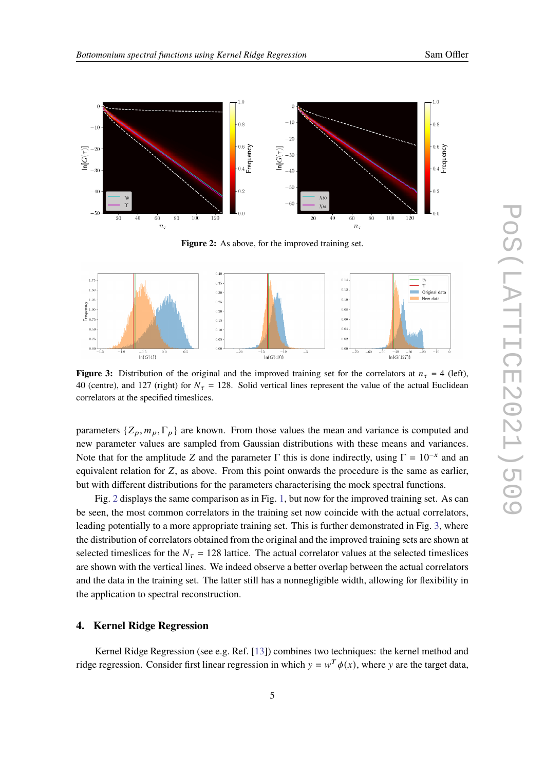<span id="page-4-0"></span>

**Figure 2:** As above, for the improved training set.

<span id="page-4-1"></span>

**Figure 3:** Distribution of the original and the improved training set for the correlators at  $n<sub>\tau</sub> = 4$  (left), 40 (centre), and 127 (right) for  $N_{\tau} = 128$ . Solid vertical lines represent the value of the actual Euclidean correlators at the specified timeslices.

parameters  $\{Z_p, m_p, \Gamma_p\}$  are known. From those values the mean and variance is computed and new parameter values are sampled from Gaussian distributions with these means and variances. Note that for the amplitude Z and the parameter  $\Gamma$  this is done indirectly, using  $\Gamma = 10^{-x}$  and an equivalent relation for  $Z$ , as above. From this point onwards the procedure is the same as earlier, but with different distributions for the parameters characterising the mock spectral functions.

Fig. [2](#page-4-0) displays the same comparison as in Fig. [1,](#page-3-0) but now for the improved training set. As can be seen, the most common correlators in the training set now coincide with the actual correlators, leading potentially to a more appropriate training set. This is further demonstrated in Fig. [3,](#page-4-1) where the distribution of correlators obtained from the original and the improved training sets are shown at selected timeslices for the  $N_{\tau}$  = 128 lattice. The actual correlator values at the selected timeslices are shown with the vertical lines. We indeed observe a better overlap between the actual correlators and the data in the training set. The latter still has a nonnegligible width, allowing for flexibility in the application to spectral reconstruction.

# **4. Kernel Ridge Regression**

Kernel Ridge Regression (see e.g. Ref. [\[13\]](#page-8-12)) combines two techniques: the kernel method and ridge regression. Consider first linear regression in which  $y = w^T \phi(x)$ , where y are the target data,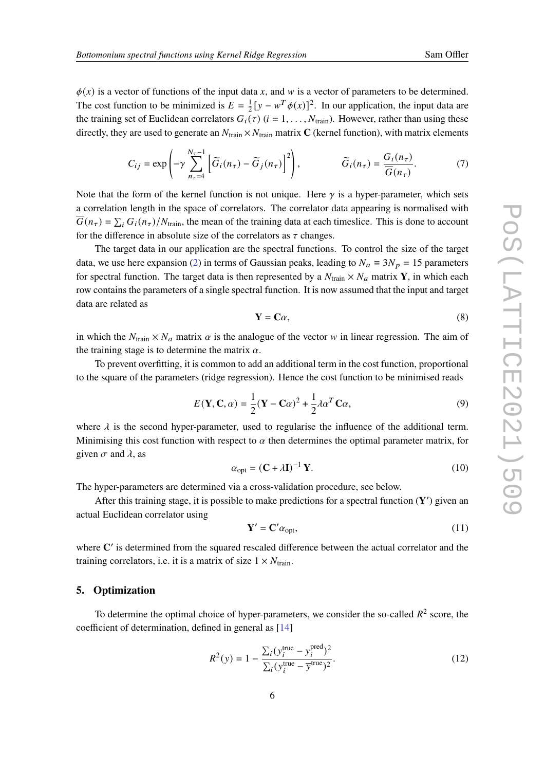$\phi(x)$  is a vector of functions of the input data x, and w is a vector of parameters to be determined. The cost function to be minimized is  $E = \frac{1}{2}$  $\frac{1}{2}[y - w^T \phi(x)]^2$ . In our application, the input data are the training set of Euclidean correlators  $G_i(\tau)$  ( $i = 1, \ldots, N_{\text{train}}$ ). However, rather than using these directly, they are used to generate an  $N_{\text{train}} \times N_{\text{train}}$  matrix C (kernel function), with matrix elements

$$
C_{ij} = \exp\left(-\gamma \sum_{n_{\tau}=4}^{N_{\tau}-1} \left[ \widetilde{G}_{i}(n_{\tau}) - \widetilde{G}_{j}(n_{\tau}) \right]^{2}\right), \qquad \widetilde{G}_{i}(n_{\tau}) = \frac{G_{i}(n_{\tau})}{\overline{G}(n_{\tau})}.
$$
 (7)

Note that the form of the kernel function is not unique. Here  $\gamma$  is a hyper-parameter, which sets a correlation length in the space of correlators. The correlator data appearing is normalised with  $\overline{G}(n_{\tau}) = \sum_i G_i(n_{\tau})/N_{\text{train}}$ , the mean of the training data at each timeslice. This is done to account for the difference in absolute size of the correlators as  $\tau$  changes.

The target data in our application are the spectral functions. To control the size of the target data, we use here expansion [\(2\)](#page-2-1) in terms of Gaussian peaks, leading to  $N_a \equiv 3N_p = 15$  parameters for spectral function. The target data is then represented by a  $N_{\text{train}} \times N_a$  matrix **Y**, in which each row contains the parameters of a single spectral function. It is now assumed that the input and target data are related as

$$
\mathbf{Y} = \mathbf{C}\alpha,\tag{8}
$$

in which the  $N_{\text{train}} \times N_a$  matrix  $\alpha$  is the analogue of the vector w in linear regression. The aim of the training stage is to determine the matrix  $\alpha$ .

To prevent overfitting, it is common to add an additional term in the cost function, proportional to the square of the parameters (ridge regression). Hence the cost function to be minimised reads

$$
E(\mathbf{Y}, \mathbf{C}, \alpha) = \frac{1}{2} (\mathbf{Y} - \mathbf{C}\alpha)^2 + \frac{1}{2} \lambda \alpha^T \mathbf{C} \alpha,
$$
 (9)

where  $\lambda$  is the second hyper-parameter, used to regularise the influence of the additional term. Minimising this cost function with respect to  $\alpha$  then determines the optimal parameter matrix, for given  $\sigma$  and  $\lambda$ , as

$$
\alpha_{\text{opt}} = (\mathbf{C} + \lambda \mathbf{I})^{-1} \mathbf{Y}.
$$
 (10)

The hyper-parameters are determined via a cross-validation procedure, see below.

After this training stage, it is possible to make predictions for a spectral function (Y') given an actual Euclidean correlator using

$$
\mathbf{Y}' = \mathbf{C}' \alpha_{\text{opt}},\tag{11}
$$

where C' is determined from the squared rescaled difference between the actual correlator and the training correlators, i.e. it is a matrix of size  $1 \times N_{\text{train}}$ .

### **5. Optimization**

To determine the optimal choice of hyper-parameters, we consider the so-called  $R^2$  score, the coefficient of determination, defined in general as [\[14\]](#page-8-13)

$$
R^{2}(y) = 1 - \frac{\sum_{i} (y_{i}^{\text{true}} - y_{i}^{\text{pred}})^{2}}{\sum_{i} (y_{i}^{\text{true}} - \overline{y}^{\text{true}})^{2}}.
$$
 (12)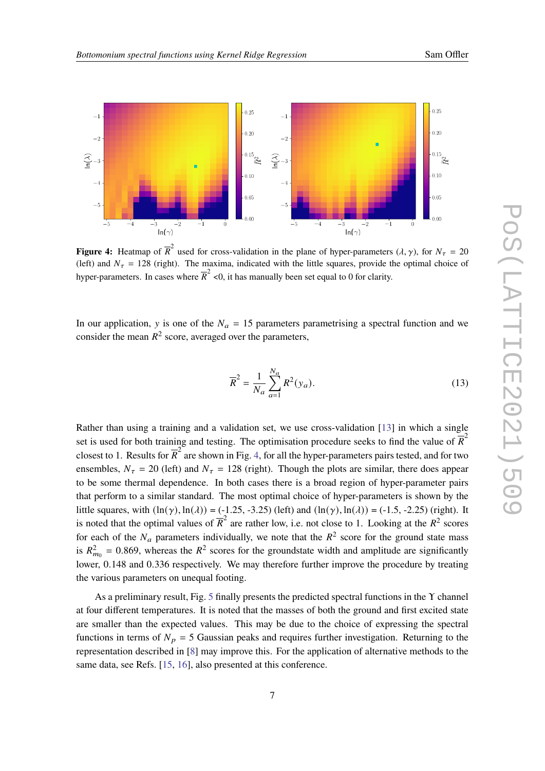<span id="page-6-0"></span>

**Figure 4:** Heatmap of  $\overline{R}^2$  used for cross-validation in the plane of hyper-parameters  $(\lambda, \gamma)$ , for  $N_\tau = 20$ (left) and  $N_{\tau} = 128$  (right). The maxima, indicated with the little squares, provide the optimal choice of hyper-parameters. In cases where  $\overline{R}^2$  <0, it has manually been set equal to 0 for clarity.

In our application, y is one of the  $N_a = 15$  parameters parametrising a spectral function and we consider the mean  $R^2$  score, averaged over the parameters,

$$
\overline{R}^2 = \frac{1}{N_a} \sum_{a=1}^{N_a} R^2(y_a).
$$
 (13)

Rather than using a training and a validation set, we use cross-validation [\[13\]](#page-8-12) in which a single set is used for both training and testing. The optimisation procedure seeks to find the value of  $\overline{R}^2$ closest to 1. Results for  $\overline{R}^2$  are shown in Fig. [4,](#page-6-0) for all the hyper-parameters pairs tested, and for two ensembles,  $N_{\tau} = 20$  (left) and  $N_{\tau} = 128$  (right). Though the plots are similar, there does appear to be some thermal dependence. In both cases there is a broad region of hyper-parameter pairs that perform to a similar standard. The most optimal choice of hyper-parameters is shown by the little squares, with  $(\ln(\gamma), \ln(\lambda)) = (-1.25, -3.25)$  (left) and  $(\ln(\gamma), \ln(\lambda)) = (-1.5, -2.25)$  (right). It is noted that the optimal values of  $\overline{R}^2$  are rather low, i.e. not close to 1. Looking at the  $R^2$  scores for each of the  $N_a$  parameters individually, we note that the  $R^2$  score for the ground state mass is  $R_{m_0}^2 = 0.869$ , whereas the  $R^2$  scores for the groundstate width and amplitude are significantly lower, 0.148 and 0.336 respectively. We may therefore further improve the procedure by treating the various parameters on unequal footing.

As a preliminary result, Fig. [5](#page-7-0) finally presents the predicted spectral functions in the Υ channel at four different temperatures. It is noted that the masses of both the ground and first excited state are smaller than the expected values. This may be due to the choice of expressing the spectral functions in terms of  $N_p = 5$  Gaussian peaks and requires further investigation. Returning to the representation described in [\[8\]](#page-8-6) may improve this. For the application of alternative methods to the same data, see Refs. [\[15,](#page-8-14) [16\]](#page-8-15), also presented at this conference.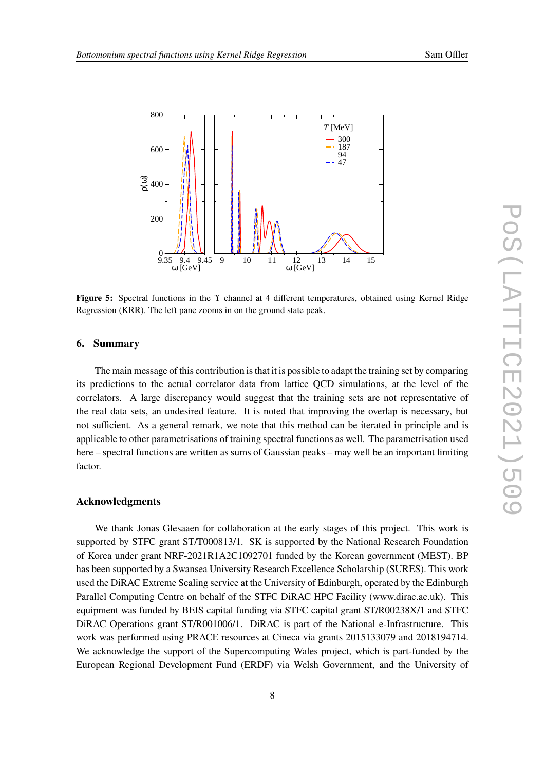<span id="page-7-0"></span>

**Figure 5:** Spectral functions in the Υ channel at 4 different temperatures, obtained using Kernel Ridge Regression (KRR). The left pane zooms in on the ground state peak.

## **6. Summary**

The main message of this contribution is that it is possible to adapt the training set by comparing its predictions to the actual correlator data from lattice QCD simulations, at the level of the correlators. A large discrepancy would suggest that the training sets are not representative of the real data sets, an undesired feature. It is noted that improving the overlap is necessary, but not sufficient. As a general remark, we note that this method can be iterated in principle and is applicable to other parametrisations of training spectral functions as well. The parametrisation used here – spectral functions are written as sums of Gaussian peaks – may well be an important limiting factor.

#### **Acknowledgments**

We thank Jonas Glesaaen for collaboration at the early stages of this project. This work is supported by STFC grant ST/T000813/1. SK is supported by the National Research Foundation of Korea under grant NRF-2021R1A2C1092701 funded by the Korean government (MEST). BP has been supported by a Swansea University Research Excellence Scholarship (SURES). This work used the DiRAC Extreme Scaling service at the University of Edinburgh, operated by the Edinburgh Parallel Computing Centre on behalf of the STFC DiRAC HPC Facility (www.dirac.ac.uk). This equipment was funded by BEIS capital funding via STFC capital grant ST/R00238X/1 and STFC DiRAC Operations grant ST/R001006/1. DiRAC is part of the National e-Infrastructure. This work was performed using PRACE resources at Cineca via grants 2015133079 and 2018194714. We acknowledge the support of the Supercomputing Wales project, which is part-funded by the European Regional Development Fund (ERDF) via Welsh Government, and the University of